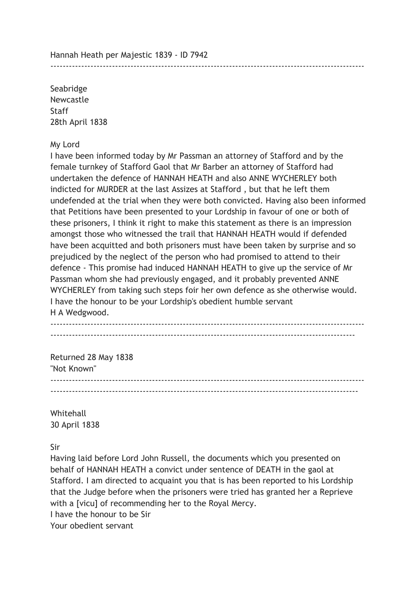Hannah Heath per Majestic 1839 - ID 7942

Seabridge Newcastle **Staff** 28th April 1838

#### My Lord

I have been informed today by Mr Passman an attorney of Stafford and by the female turnkey of Stafford Gaol that Mr Barber an attorney of Stafford had undertaken the defence of HANNAH HEATH and also ANNE WYCHERLEY both indicted for MURDER at the last Assizes at Stafford , but that he left them undefended at the trial when they were both convicted. Having also been informed that Petitions have been presented to your Lordship in favour of one or both of these prisoners, I think it right to make this statement as there is an impression amongst those who witnessed the trail that HANNAH HEATH would if defended have been acquitted and both prisoners must have been taken by surprise and so prejudiced by the neglect of the person who had promised to attend to their defence - This promise had induced HANNAH HEATH to give up the service of Mr Passman whom she had previously engaged, and it probably prevented ANNE WYCHERLEY from taking such steps foir her own defence as she otherwise would. I have the honour to be your Lordship's obedient humble servant H A Wedgwood.

------------------------------------------------------------------------------------------------------

------------------------------------------------------------------------------------------------------ ---------------------------------------------------------------------------------------------------

Returned 28 May 1838 "Not Known" ------------------------------------------------------------------------------------------------------ ----------------------------------------------------------------------------------------------------

Whitehall 30 April 1838

Sir

Having laid before Lord John Russell, the documents which you presented on behalf of HANNAH HEATH a convict under sentence of DEATH in the gaol at Stafford. I am directed to acquaint you that is has been reported to his Lordship that the Judge before when the prisoners were tried has granted her a Reprieve with a [vicu] of recommending her to the Royal Mercy. I have the honour to be Sir

Your obedient servant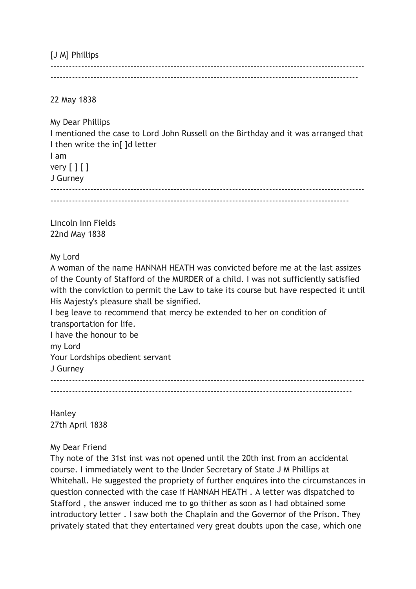[J M] Phillips

------------------------------------------------------------------------------------------------------ ----------------------------------------------------------------------------------------------------

22 May 1838

My Dear Phillips I mentioned the case to Lord John Russell on the Birthday and it was arranged that I then write the in<sup>[]</sup> d letter I am

very  $[ ] [ ]$ 

J Gurney

------------------------------------------------------------------------------------------------------

-------------------------------------------------------------------------------------------------

Lincoln Inn Fields 22nd May 1838

My Lord

A woman of the name HANNAH HEATH was convicted before me at the last assizes of the County of Stafford of the MURDER of a child. I was not sufficiently satisfied with the conviction to permit the Law to take its course but have respected it until His Majesty's pleasure shall be signified.

I beg leave to recommend that mercy be extended to her on condition of transportation for life.

I have the honour to be my Lord Your Lordships obedient servant J Gurney ------------------------------------------------------------------------------------------------------ --------------------------------------------------------------------------------------------------

Hanley 27th April 1838

## My Dear Friend

Thy note of the 31st inst was not opened until the 20th inst from an accidental course. I immediately went to the Under Secretary of State J M Phillips at Whitehall. He suggested the propriety of further enquires into the circumstances in question connected with the case if HANNAH HEATH . A letter was dispatched to Stafford , the answer induced me to go thither as soon as I had obtained some introductory letter . I saw both the Chaplain and the Governor of the Prison. They privately stated that they entertained very great doubts upon the case, which one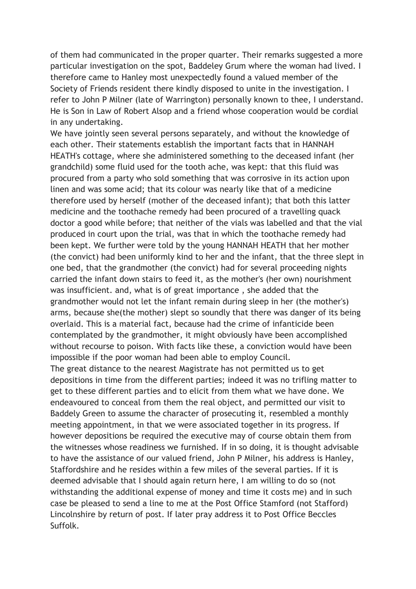of them had communicated in the proper quarter. Their remarks suggested a more particular investigation on the spot, Baddeley Grum where the woman had lived. I therefore came to Hanley most unexpectedly found a valued member of the Society of Friends resident there kindly disposed to unite in the investigation. I refer to John P Milner (late of Warrington) personally known to thee, I understand. He is Son in Law of Robert Alsop and a friend whose cooperation would be cordial in any undertaking.

We have jointly seen several persons separately, and without the knowledge of each other. Their statements establish the important facts that in HANNAH HEATH's cottage, where she administered something to the deceased infant (her grandchild) some fluid used for the tooth ache, was kept: that this fluid was procured from a party who sold something that was corrosive in its action upon linen and was some acid; that its colour was nearly like that of a medicine therefore used by herself (mother of the deceased infant); that both this latter medicine and the toothache remedy had been procured of a travelling quack doctor a good while before; that neither of the vials was labelled and that the vial produced in court upon the trial, was that in which the toothache remedy had been kept. We further were told by the young HANNAH HEATH that her mother (the convict) had been uniformly kind to her and the infant, that the three slept in one bed, that the grandmother (the convict) had for several proceeding nights carried the infant down stairs to feed it, as the mother's (her own) nourishment was insufficient. and, what is of great importance , she added that the grandmother would not let the infant remain during sleep in her (the mother's) arms, because she(the mother) slept so soundly that there was danger of its being overlaid. This is a material fact, because had the crime of infanticide been contemplated by the grandmother, it might obviously have been accomplished without recourse to poison. With facts like these, a conviction would have been impossible if the poor woman had been able to employ Council.

The great distance to the nearest Magistrate has not permitted us to get depositions in time from the different parties; indeed it was no trifling matter to get to these different parties and to elicit from them what we have done. We endeavoured to conceal from them the real object, and permitted our visit to Baddely Green to assume the character of prosecuting it, resembled a monthly meeting appointment, in that we were associated together in its progress. If however depositions be required the executive may of course obtain them from the witnesses whose readiness we furnished. If in so doing, it is thought advisable to have the assistance of our valued friend, John P Milner, his address is Hanley, Staffordshire and he resides within a few miles of the several parties. If it is deemed advisable that I should again return here, I am willing to do so (not withstanding the additional expense of money and time it costs me) and in such case be pleased to send a line to me at the Post Office Stamford (not Stafford) Lincolnshire by return of post. If later pray address it to Post Office Beccles Suffolk.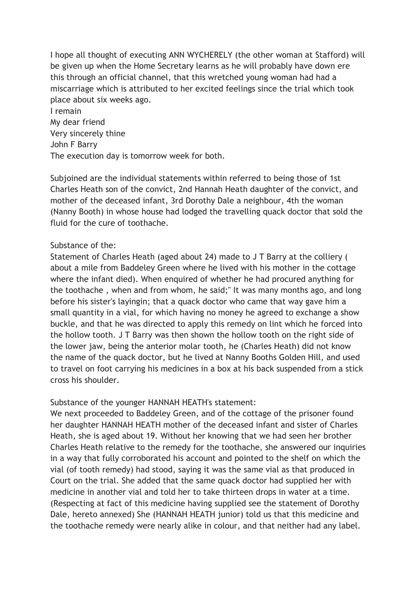I hope all thought of executing ANN WYCHERELY (the other woman at Stafford) will be given up when the Home Secretary learns as he will probably have down ere this through an official channel, that this wretched young woman had had a miscarriage which is attributed to her excited feelings since the trial which took place about six weeks ago. I remain

My dear friend Very sincerely thine John F Barry The execution day is tomorrow week for both.

Subjoined are the individual statements within referred to being those of 1st Charles Heath son of the convict, 2nd Hannah Heath daughter of the convict, and mother of the deceased infant, 3rd Dorothy Dale a neighbour, 4th the woman (Nanny Booth) in whose house had lodged the travelling quack doctor that sold the fluid for the cure of toothache.

#### Substance of the:

Statement of Charles Heath (aged about 24) made to J T Barry at the colliery ( about a mile from Baddeley Green where he lived with his mother in the cottage where the infant died). When enquired of whether he had procured anything for the toothache , when and from whom, he said;" It was many months ago, and long before his sister's layingin; that a quack doctor who came that way gave him a small quantity in a vial, for which having no money he agreed to exchange a show buckle, and that he was directed to apply this remedy on lint which he forced into the hollow tooth. J T Barry was then shown the hollow tooth on the right side of the lower jaw, being the anterior molar tooth, he (Charles Heath) did not know the name of the quack doctor, but he lived at Nanny Booths Golden Hill, and used to travel on foot carrying his medicines in a box at his back suspended from a stick cross his shoulder.

Substance of the younger HANNAH HEATH's statement:

We next proceeded to Baddeley Green, and of the cottage of the prisoner found her daughter HANNAH HEATH mother of the deceased infant and sister of Charles Heath, she is aged about 19. Without her knowing that we had seen her brother Charles Heath relative to the remedy for the toothache, she answered our inquiries in a way that fully corroborated his account and pointed to the shelf on which the vial (of tooth remedy) had stood, saying it was the same vial as that produced in Court on the trial. She added that the same quack doctor had supplied her with medicine in another vial and told her to take thirteen drops in water at a time. (Respecting at fact of this medicine having supplied see the statement of Dorothy Dale, hereto annexed) She (HANNAH HEATH junior) told us that this medicine and the toothache remedy were nearly alike in colour, and that neither had any label.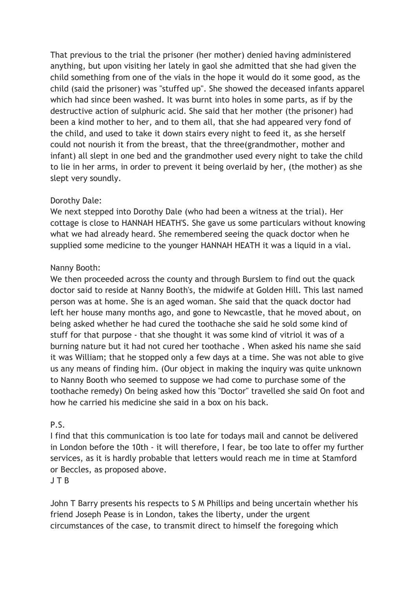That previous to the trial the prisoner (her mother) denied having administered anything, but upon visiting her lately in gaol she admitted that she had given the child something from one of the vials in the hope it would do it some good, as the child (said the prisoner) was "stuffed up". She showed the deceased infants apparel which had since been washed. It was burnt into holes in some parts, as if by the destructive action of sulphuric acid. She said that her mother (the prisoner) had been a kind mother to her, and to them all, that she had appeared very fond of the child, and used to take it down stairs every night to feed it, as she herself could not nourish it from the breast, that the three(grandmother, mother and infant) all slept in one bed and the grandmother used every night to take the child to lie in her arms, in order to prevent it being overlaid by her, (the mother) as she slept very soundly.

## Dorothy Dale:

We next stepped into Dorothy Dale (who had been a witness at the trial). Her cottage is close to HANNAH HEATH'S. She gave us some particulars without knowing what we had already heard. She remembered seeing the quack doctor when he supplied some medicine to the younger HANNAH HEATH it was a liquid in a vial.

# Nanny Booth:

We then proceeded across the county and through Burslem to find out the quack doctor said to reside at Nanny Booth's, the midwife at Golden Hill. This last named person was at home. She is an aged woman. She said that the quack doctor had left her house many months ago, and gone to Newcastle, that he moved about, on being asked whether he had cured the toothache she said he sold some kind of stuff for that purpose - that she thought it was some kind of vitriol it was of a burning nature but it had not cured her toothache . When asked his name she said it was William; that he stopped only a few days at a time. She was not able to give us any means of finding him. (Our object in making the inquiry was quite unknown to Nanny Booth who seemed to suppose we had come to purchase some of the toothache remedy) On being asked how this "Doctor" travelled she said On foot and how he carried his medicine she said in a box on his back.

## P.S.

I find that this communication is too late for todays mail and cannot be delivered in London before the 10th - it will therefore, I fear, be too late to offer my further services, as it is hardly probable that letters would reach me in time at Stamford or Beccles, as proposed above.

J T B

John T Barry presents his respects to S M Phillips and being uncertain whether his friend Joseph Pease is in London, takes the liberty, under the urgent circumstances of the case, to transmit direct to himself the foregoing which